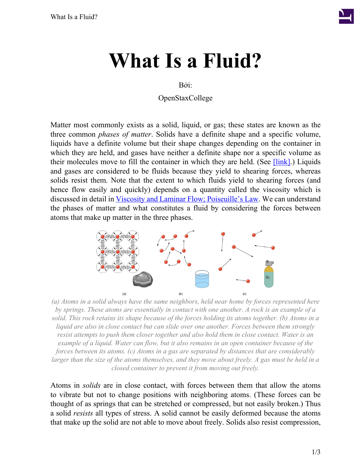

## **What Is a Fluid?**

## Bởi:

OpenStaxCollege

Matter most commonly exists as a solid, liquid, or gas; these states are known as the three common *phases of matter*. Solids have a definite shape and a specific volume, liquids have a definite volume but their shape changes depending on the container in which they are held, and gases have neither a definite shape nor a specific volume as their molecules move to fill the container in which they are held. (See  $[\text{link}]$ .) Liquids and gases are considered to be fluids because they yield to shearing forces, whereas solids resist them. Note that the extent to which fluids yield to shearing forces (and hence flow easily and quickly) depends on a quantity called the viscosity which is discussed in detail in Viscosity and Laminar Flow; [Poiseuille's](/m42209) Law. We can understand the phases of matter and what constitutes a fluid by considering the forces between atoms that make up matter in the three phases.



<span id="page-0-0"></span>*(a) Atoms in a solid always have the same neighbors, held near home by forces represented here by springs. These atoms are essentially in contact with one another. A rock is an example of a solid. This rock retains its shape because of the forces holding its atoms together. (b) Atoms in a liquid are also in close contact but can slide over one another. Forces between them strongly resist attempts to push them closer together and also hold them in close contact. Water is an example of a liquid. Water can flow, but it also remains in an open container because of the forces between its atoms. (c) Atoms in a gas are separated by distances that are considerably larger than the size of the atoms themselves, and they move about freely. A gas must be held in a closed container to prevent it from moving out freely.*

Atoms in *solids* are in close contact, with forces between them that allow the atoms to vibrate but not to change positions with neighboring atoms. (These forces can be thought of as springs that can be stretched or compressed, but not easily broken.) Thus a solid *resists* all types of stress. A solid cannot be easily deformed because the atoms that make up the solid are not able to move about freely. Solids also resist compression,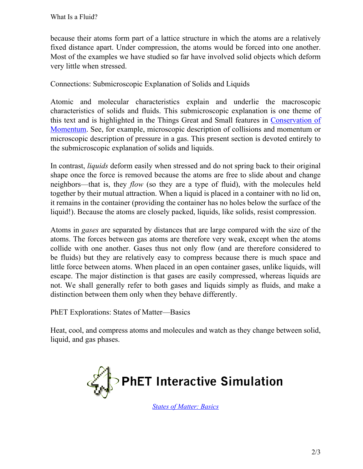because their atoms form part of a lattice structure in which the atoms are a relatively fixed distance apart. Under compression, the atoms would be forced into one another. Most of the examples we have studied so far have involved solid objects which deform very little when stressed.

Connections: Submicroscopic Explanation of Solids and Liquids

Atomic and molecular characteristics explain and underlie the macroscopic characteristics of solids and fluids. This submicroscopic explanation is one theme of this text and is highlighted in the Things Great and Small features in [Conservation](/m42162) of [Momentum.](/m42162) See, for example, microscopic description of collisions and momentum or microscopic description of pressure in a gas. This present section is devoted entirely to the submicroscopic explanation of solids and liquids.

In contrast, *liquids* deform easily when stressed and do not spring back to their original shape once the force is removed because the atoms are free to slide about and change neighbors—that is, they *flow* (so they are a type of fluid), with the molecules held together by their mutual attraction. When a liquid is placed in a container with no lid on, it remains in the container (providing the container has no holes below the surface of the liquid!). Because the atoms are closely packed, liquids, like solids, resist compression.

Atoms in *gases* are separated by distances that are large compared with the size of the atoms. The forces between gas atoms are therefore very weak, except when the atoms collide with one another. Gases thus not only flow (and are therefore considered to be fluids) but they are relatively easy to compress because there is much space and little force between atoms. When placed in an open container gases, unlike liquids, will escape. The major distinction is that gases are easily compressed, whereas liquids are not. We shall generally refer to both gases and liquids simply as fluids, and make a distinction between them only when they behave differently.

PhET Explorations: States of Matter—Basics

Heat, cool, and compress atoms and molecules and watch as they change between solid, liquid, and gas phases.



*[States of Matter: Basics](/home/voer/vp/vp.transformer/src/vpt.transformer/vpt/transformer/transforms/20140118-162233-e7e7143a-1/states-of-matter-basics_en.jar)*